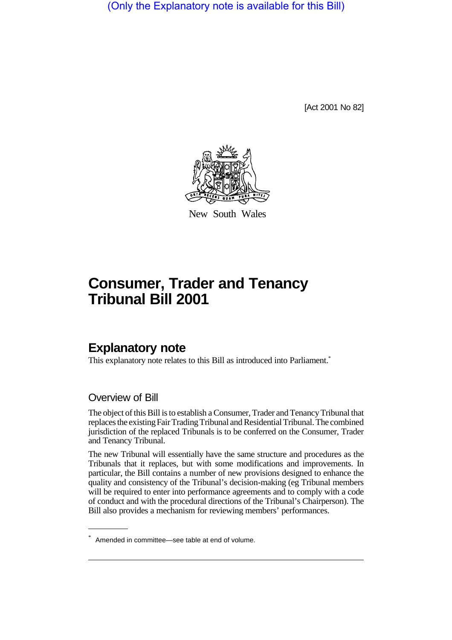(Only the Explanatory note is available for this Bill)

[Act 2001 No 82]



New South Wales

# **Consumer, Trader and Tenancy Tribunal Bill 2001**

# **Explanatory note**

This explanatory note relates to this Bill as introduced into Parliament.<sup>\*</sup>

## Overview of Bill

The object of this Bill is to establish a Consumer, Trader and Tenancy Tribunal that replaces the existing Fair Trading Tribunal and Residential Tribunal. The combined jurisdiction of the replaced Tribunals is to be conferred on the Consumer, Trader and Tenancy Tribunal.

The new Tribunal will essentially have the same structure and procedures as the Tribunals that it replaces, but with some modifications and improvements. In particular, the Bill contains a number of new provisions designed to enhance the quality and consistency of the Tribunal's decision-making (eg Tribunal members will be required to enter into performance agreements and to comply with a code of conduct and with the procedural directions of the Tribunal's Chairperson). The Bill also provides a mechanism for reviewing members' performances.

<sup>\*</sup> Amended in committee—see table at end of volume.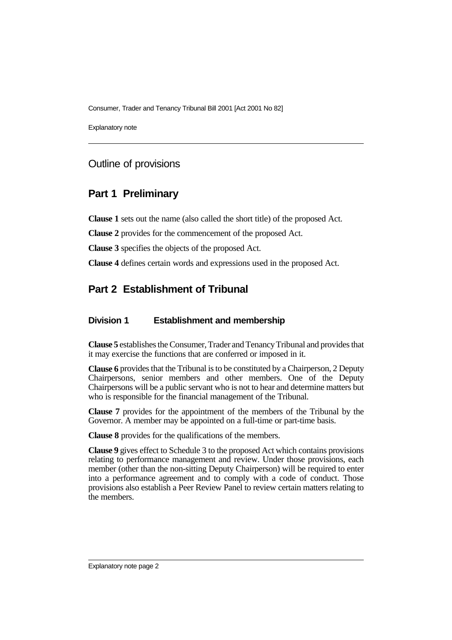Explanatory note

## Outline of provisions

## **Part 1 Preliminary**

**Clause 1** sets out the name (also called the short title) of the proposed Act.

**Clause 2** provides for the commencement of the proposed Act.

**Clause 3** specifies the objects of the proposed Act.

**Clause 4** defines certain words and expressions used in the proposed Act.

# **Part 2 Establishment of Tribunal**

#### **Division 1 Establishment and membership**

**Clause 5** establishes the Consumer, Trader and Tenancy Tribunal and provides that it may exercise the functions that are conferred or imposed in it.

**Clause 6** provides that the Tribunal is to be constituted by a Chairperson, 2 Deputy Chairpersons, senior members and other members. One of the Deputy Chairpersons will be a public servant who is not to hear and determine matters but who is responsible for the financial management of the Tribunal.

**Clause 7** provides for the appointment of the members of the Tribunal by the Governor. A member may be appointed on a full-time or part-time basis.

**Clause 8** provides for the qualifications of the members.

**Clause 9** gives effect to Schedule 3 to the proposed Act which contains provisions relating to performance management and review. Under those provisions, each member (other than the non-sitting Deputy Chairperson) will be required to enter into a performance agreement and to comply with a code of conduct. Those provisions also establish a Peer Review Panel to review certain matters relating to the members.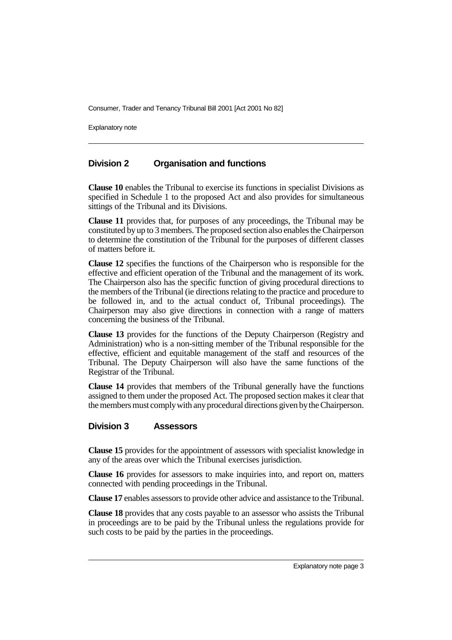Explanatory note

#### **Division 2 Organisation and functions**

**Clause 10** enables the Tribunal to exercise its functions in specialist Divisions as specified in Schedule 1 to the proposed Act and also provides for simultaneous sittings of the Tribunal and its Divisions.

**Clause 11** provides that, for purposes of any proceedings, the Tribunal may be constituted by up to 3 members. The proposed section also enables the Chairperson to determine the constitution of the Tribunal for the purposes of different classes of matters before it.

**Clause 12** specifies the functions of the Chairperson who is responsible for the effective and efficient operation of the Tribunal and the management of its work. The Chairperson also has the specific function of giving procedural directions to the members of the Tribunal (ie directions relating to the practice and procedure to be followed in, and to the actual conduct of, Tribunal proceedings). The Chairperson may also give directions in connection with a range of matters concerning the business of the Tribunal.

**Clause 13** provides for the functions of the Deputy Chairperson (Registry and Administration) who is a non-sitting member of the Tribunal responsible for the effective, efficient and equitable management of the staff and resources of the Tribunal. The Deputy Chairperson will also have the same functions of the Registrar of the Tribunal.

**Clause 14** provides that members of the Tribunal generally have the functions assigned to them under the proposed Act. The proposed section makes it clear that the members must comply with any procedural directions given by the Chairperson.

#### **Division 3 Assessors**

**Clause 15** provides for the appointment of assessors with specialist knowledge in any of the areas over which the Tribunal exercises jurisdiction.

**Clause 16** provides for assessors to make inquiries into, and report on, matters connected with pending proceedings in the Tribunal.

**Clause 17** enables assessors to provide other advice and assistance to the Tribunal.

**Clause 18** provides that any costs payable to an assessor who assists the Tribunal in proceedings are to be paid by the Tribunal unless the regulations provide for such costs to be paid by the parties in the proceedings.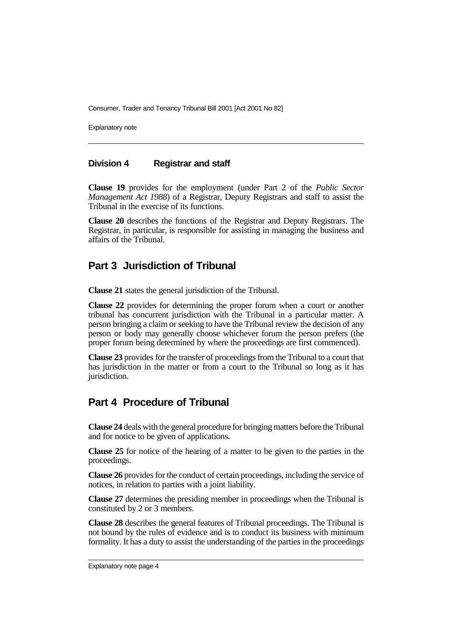Explanatory note

#### **Division 4 Registrar and staff**

**Clause 19** provides for the employment (under Part 2 of the *Public Sector Management Act 1988*) of a Registrar, Deputy Registrars and staff to assist the Tribunal in the exercise of its functions.

**Clause 20** describes the functions of the Registrar and Deputy Registrars. The Registrar, in particular, is responsible for assisting in managing the business and affairs of the Tribunal.

## **Part 3 Jurisdiction of Tribunal**

**Clause 21** states the general jurisdiction of the Tribunal.

**Clause 22** provides for determining the proper forum when a court or another tribunal has concurrent jurisdiction with the Tribunal in a particular matter. A person bringing a claim or seeking to have the Tribunal review the decision of any person or body may generally choose whichever forum the person prefers (the proper forum being determined by where the proceedings are first commenced).

**Clause 23** provides for the transfer of proceedings from the Tribunal to a court that has jurisdiction in the matter or from a court to the Tribunal so long as it has jurisdiction.

## **Part 4 Procedure of Tribunal**

**Clause 24** deals with the general procedure for bringing matters before the Tribunal and for notice to be given of applications.

**Clause 25** for notice of the hearing of a matter to be given to the parties in the proceedings.

**Clause 26** provides for the conduct of certain proceedings, including the service of notices, in relation to parties with a joint liability.

**Clause 27** determines the presiding member in proceedings when the Tribunal is constituted by 2 or 3 members.

**Clause 28** describes the general features of Tribunal proceedings. The Tribunal is not bound by the rules of evidence and is to conduct its business with minimum formality. It has a duty to assist the understanding of the parties in the proceedings

Explanatory note page 4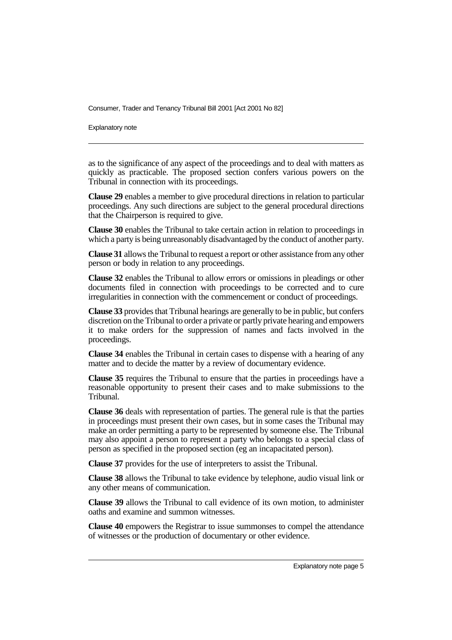Explanatory note

as to the significance of any aspect of the proceedings and to deal with matters as quickly as practicable. The proposed section confers various powers on the Tribunal in connection with its proceedings.

**Clause 29** enables a member to give procedural directions in relation to particular proceedings. Any such directions are subject to the general procedural directions that the Chairperson is required to give.

**Clause 30** enables the Tribunal to take certain action in relation to proceedings in which a party is being unreasonably disadvantaged by the conduct of another party.

**Clause 31** allows the Tribunal to request a report or other assistance from any other person or body in relation to any proceedings.

**Clause 32** enables the Tribunal to allow errors or omissions in pleadings or other documents filed in connection with proceedings to be corrected and to cure irregularities in connection with the commencement or conduct of proceedings.

**Clause 33** provides that Tribunal hearings are generally to be in public, but confers discretion on the Tribunal to order a private or partly private hearing and empowers it to make orders for the suppression of names and facts involved in the proceedings.

**Clause 34** enables the Tribunal in certain cases to dispense with a hearing of any matter and to decide the matter by a review of documentary evidence.

**Clause 35** requires the Tribunal to ensure that the parties in proceedings have a reasonable opportunity to present their cases and to make submissions to the Tribunal.

**Clause 36** deals with representation of parties. The general rule is that the parties in proceedings must present their own cases, but in some cases the Tribunal may make an order permitting a party to be represented by someone else. The Tribunal may also appoint a person to represent a party who belongs to a special class of person as specified in the proposed section (eg an incapacitated person).

**Clause 37** provides for the use of interpreters to assist the Tribunal.

**Clause 38** allows the Tribunal to take evidence by telephone, audio visual link or any other means of communication.

**Clause 39** allows the Tribunal to call evidence of its own motion, to administer oaths and examine and summon witnesses.

**Clause 40** empowers the Registrar to issue summonses to compel the attendance of witnesses or the production of documentary or other evidence.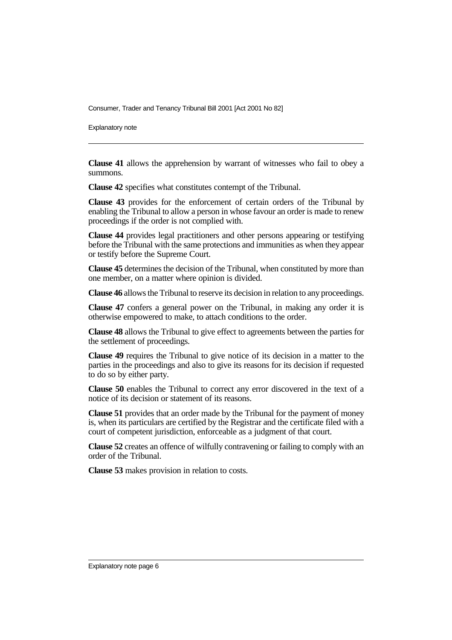Explanatory note

**Clause 41** allows the apprehension by warrant of witnesses who fail to obey a summons.

**Clause 42** specifies what constitutes contempt of the Tribunal.

**Clause 43** provides for the enforcement of certain orders of the Tribunal by enabling the Tribunal to allow a person in whose favour an order is made to renew proceedings if the order is not complied with.

**Clause 44** provides legal practitioners and other persons appearing or testifying before the Tribunal with the same protections and immunities as when they appear or testify before the Supreme Court.

**Clause 45** determines the decision of the Tribunal, when constituted by more than one member, on a matter where opinion is divided.

**Clause 46** allows the Tribunal to reserve its decision in relation to any proceedings.

**Clause 47** confers a general power on the Tribunal, in making any order it is otherwise empowered to make, to attach conditions to the order.

**Clause 48** allows the Tribunal to give effect to agreements between the parties for the settlement of proceedings.

**Clause 49** requires the Tribunal to give notice of its decision in a matter to the parties in the proceedings and also to give its reasons for its decision if requested to do so by either party.

**Clause 50** enables the Tribunal to correct any error discovered in the text of a notice of its decision or statement of its reasons.

**Clause 51** provides that an order made by the Tribunal for the payment of money is, when its particulars are certified by the Registrar and the certificate filed with a court of competent jurisdiction, enforceable as a judgment of that court.

**Clause 52** creates an offence of wilfully contravening or failing to comply with an order of the Tribunal.

**Clause 53** makes provision in relation to costs.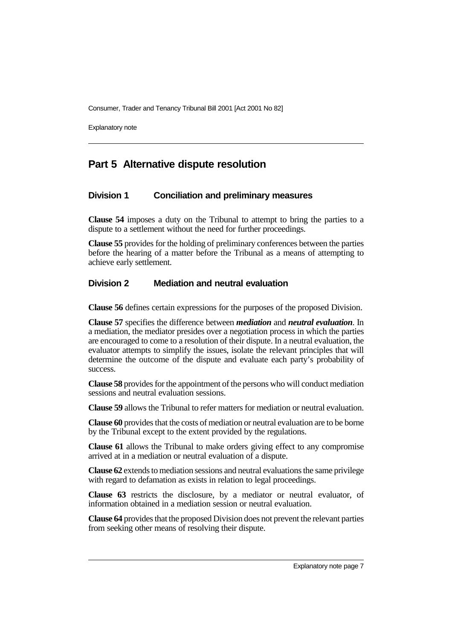Explanatory note

## **Part 5 Alternative dispute resolution**

#### **Division 1 Conciliation and preliminary measures**

**Clause 54** imposes a duty on the Tribunal to attempt to bring the parties to a dispute to a settlement without the need for further proceedings.

**Clause 55** provides for the holding of preliminary conferences between the parties before the hearing of a matter before the Tribunal as a means of attempting to achieve early settlement.

#### **Division 2 Mediation and neutral evaluation**

**Clause 56** defines certain expressions for the purposes of the proposed Division.

**Clause 57** specifies the difference between *mediation* and *neutral evaluation*. In a mediation, the mediator presides over a negotiation process in which the parties are encouraged to come to a resolution of their dispute. In a neutral evaluation, the evaluator attempts to simplify the issues, isolate the relevant principles that will determine the outcome of the dispute and evaluate each party's probability of success.

**Clause 58** provides for the appointment of the persons who will conduct mediation sessions and neutral evaluation sessions.

**Clause 59** allows the Tribunal to refer matters for mediation or neutral evaluation.

**Clause 60** provides that the costs of mediation or neutral evaluation are to be borne by the Tribunal except to the extent provided by the regulations.

**Clause 61** allows the Tribunal to make orders giving effect to any compromise arrived at in a mediation or neutral evaluation of a dispute.

**Clause 62** extends to mediation sessions and neutral evaluations the same privilege with regard to defamation as exists in relation to legal proceedings.

**Clause 63** restricts the disclosure, by a mediator or neutral evaluator, of information obtained in a mediation session or neutral evaluation.

**Clause 64** provides that the proposed Division does not prevent the relevant parties from seeking other means of resolving their dispute.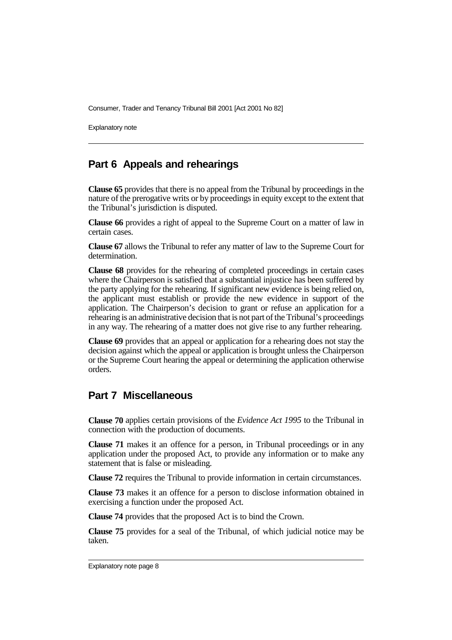Explanatory note

## **Part 6 Appeals and rehearings**

**Clause 65** provides that there is no appeal from the Tribunal by proceedings in the nature of the prerogative writs or by proceedings in equity except to the extent that the Tribunal's jurisdiction is disputed.

**Clause 66** provides a right of appeal to the Supreme Court on a matter of law in certain cases.

**Clause 67** allows the Tribunal to refer any matter of law to the Supreme Court for determination.

**Clause 68** provides for the rehearing of completed proceedings in certain cases where the Chairperson is satisfied that a substantial injustice has been suffered by the party applying for the rehearing. If significant new evidence is being relied on, the applicant must establish or provide the new evidence in support of the application. The Chairperson's decision to grant or refuse an application for a rehearing is an administrative decision that is not part of the Tribunal's proceedings in any way. The rehearing of a matter does not give rise to any further rehearing.

**Clause 69** provides that an appeal or application for a rehearing does not stay the decision against which the appeal or application is brought unless the Chairperson or the Supreme Court hearing the appeal or determining the application otherwise orders.

# **Part 7 Miscellaneous**

**Clause 70** applies certain provisions of the *Evidence Act 1995* to the Tribunal in connection with the production of documents.

**Clause 71** makes it an offence for a person, in Tribunal proceedings or in any application under the proposed Act, to provide any information or to make any statement that is false or misleading.

**Clause 72** requires the Tribunal to provide information in certain circumstances.

**Clause 73** makes it an offence for a person to disclose information obtained in exercising a function under the proposed Act.

**Clause 74** provides that the proposed Act is to bind the Crown.

**Clause 75** provides for a seal of the Tribunal, of which judicial notice may be taken.

Explanatory note page 8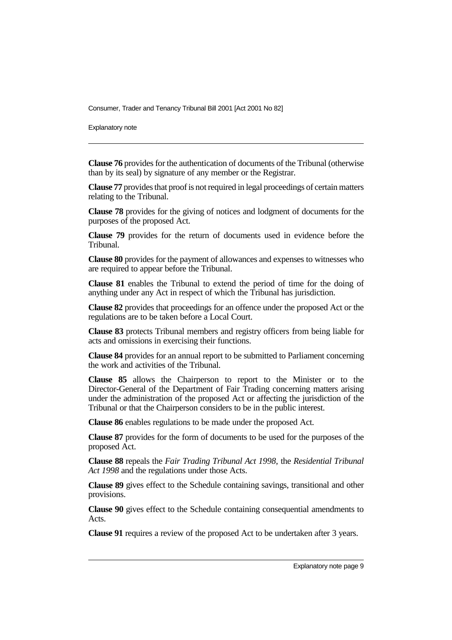Explanatory note

**Clause 76** provides for the authentication of documents of the Tribunal (otherwise than by its seal) by signature of any member or the Registrar.

**Clause 77** provides that proof is not required in legal proceedings of certain matters relating to the Tribunal.

**Clause 78** provides for the giving of notices and lodgment of documents for the purposes of the proposed Act.

**Clause 79** provides for the return of documents used in evidence before the Tribunal.

**Clause 80** provides for the payment of allowances and expenses to witnesses who are required to appear before the Tribunal.

**Clause 81** enables the Tribunal to extend the period of time for the doing of anything under any Act in respect of which the Tribunal has jurisdiction.

**Clause 82** provides that proceedings for an offence under the proposed Act or the regulations are to be taken before a Local Court.

**Clause 83** protects Tribunal members and registry officers from being liable for acts and omissions in exercising their functions.

**Clause 84** provides for an annual report to be submitted to Parliament concerning the work and activities of the Tribunal.

**Clause 85** allows the Chairperson to report to the Minister or to the Director-General of the Department of Fair Trading concerning matters arising under the administration of the proposed Act or affecting the jurisdiction of the Tribunal or that the Chairperson considers to be in the public interest.

**Clause 86** enables regulations to be made under the proposed Act.

**Clause 87** provides for the form of documents to be used for the purposes of the proposed Act.

**Clause 88** repeals the *Fair Trading Tribunal Act 1998*, the *Residential Tribunal Act 1998* and the regulations under those Acts.

**Clause 89** gives effect to the Schedule containing savings, transitional and other provisions.

**Clause 90** gives effect to the Schedule containing consequential amendments to Acts.

**Clause 91** requires a review of the proposed Act to be undertaken after 3 years.